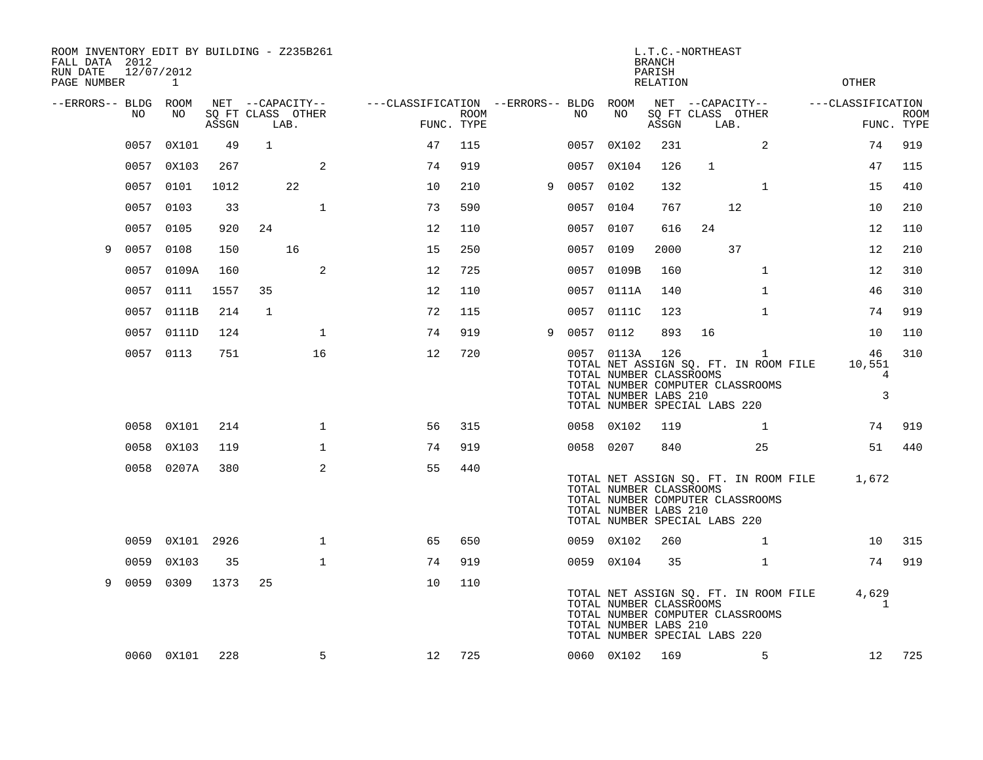| ROOM INVENTORY EDIT BY BUILDING - Z235B261<br>FALL DATA 2012<br>RUN DATE<br>PAGE NUMBER | 12/07/2012 | 1          |       |              |                                               |                                                      |             |   |           |                                                                | <b>BRANCH</b><br>PARISH<br><b>RELATION</b> | L.T.C.-NORTHEAST                                                                                           |              | OTHER                                            |                           |
|-----------------------------------------------------------------------------------------|------------|------------|-------|--------------|-----------------------------------------------|------------------------------------------------------|-------------|---|-----------|----------------------------------------------------------------|--------------------------------------------|------------------------------------------------------------------------------------------------------------|--------------|--------------------------------------------------|---------------------------|
| --ERRORS-- BLDG ROOM                                                                    | NO.        | NO         | ASSGN |              | NET --CAPACITY--<br>SQ FT CLASS OTHER<br>LAB. | ---CLASSIFICATION --ERRORS-- BLDG ROOM<br>FUNC. TYPE | <b>ROOM</b> |   | NO        | NO                                                             | ASSGN                                      | NET --CAPACITY--<br>SQ FT CLASS OTHER<br>LAB.                                                              |              | ---CLASSIFICATION                                | <b>ROOM</b><br>FUNC. TYPE |
|                                                                                         | 0057       | 0X101      | 49    | $\mathbf{1}$ |                                               | 47                                                   | 115         |   | 0057      | 0X102                                                          | 231                                        |                                                                                                            | 2            | 74                                               | 919                       |
|                                                                                         | 0057       | 0X103      | 267   |              | 2                                             | 74                                                   | 919         |   | 0057      | 0X104                                                          | 126                                        | $\mathbf{1}$                                                                                               |              | 47                                               | 115                       |
|                                                                                         | 0057       | 0101       | 1012  |              | 22                                            | 10                                                   | 210         | 9 | 0057 0102 |                                                                | 132                                        |                                                                                                            | $\mathbf{1}$ | 15                                               | 410                       |
|                                                                                         | 0057       | 0103       | 33    |              | $\mathbf{1}$                                  | 73                                                   | 590         |   | 0057      | 0104                                                           | 767                                        | 12                                                                                                         |              | 10                                               | 210                       |
|                                                                                         | 0057       | 0105       | 920   | 24           |                                               | 12                                                   | 110         |   | 0057 0107 |                                                                | 616                                        | 24                                                                                                         |              | 12                                               | 110                       |
| 9                                                                                       | 0057       | 0108       | 150   |              | 16                                            | 15                                                   | 250         |   | 0057 0109 |                                                                | 2000                                       | 37                                                                                                         |              | 12                                               | 210                       |
|                                                                                         | 0057       | 0109A      | 160   |              | 2                                             | 12                                                   | 725         |   |           | 0057 0109B                                                     | 160                                        |                                                                                                            | $\mathbf{1}$ | 12                                               | 310                       |
|                                                                                         | 0057       | 0111       | 1557  | 35           |                                               | 12                                                   | 110         |   |           | 0057 0111A                                                     | 140                                        |                                                                                                            | $\mathbf{1}$ | 46                                               | 310                       |
|                                                                                         |            | 0057 0111B | 214   | $\mathbf{1}$ |                                               | 72                                                   | 115         |   |           | 0057 0111C                                                     | 123                                        |                                                                                                            | $\mathbf{1}$ | 74                                               | 919                       |
|                                                                                         |            | 0057 0111D | 124   |              | $\mathbf{1}$                                  | 74                                                   | 919         | 9 | 0057 0112 |                                                                | 893                                        | 16                                                                                                         |              | 10                                               | 110                       |
|                                                                                         |            | 0057 0113  | 751   |              | 16                                            | 12                                                   | 720         |   |           | 0057 0113A<br>TOTAL NUMBER CLASSROOMS<br>TOTAL NUMBER LABS 210 | 126                                        | TOTAL NET ASSIGN SQ. FT. IN ROOM FILE<br>TOTAL NUMBER COMPUTER CLASSROOMS<br>TOTAL NUMBER SPECIAL LABS 220 | 1            | 46<br>10,551<br>$\overline{4}$<br>$\overline{3}$ | 310                       |
|                                                                                         | 0058       | 0X101      | 214   |              | $\mathbf 1$                                   | 56                                                   | 315         |   |           | 0058 0X102                                                     | 119                                        |                                                                                                            | $\mathbf{1}$ | 74                                               | 919                       |
|                                                                                         | 0058       | 0X103      | 119   |              | $\mathbf{1}$                                  | 74                                                   | 919         |   | 0058 0207 |                                                                | 840                                        |                                                                                                            | 25           | 51                                               | 440                       |
|                                                                                         |            | 0058 0207A | 380   |              | 2                                             | 55                                                   | 440         |   |           | TOTAL NUMBER CLASSROOMS<br>TOTAL NUMBER LABS 210               |                                            | TOTAL NET ASSIGN SQ. FT. IN ROOM FILE<br>TOTAL NUMBER COMPUTER CLASSROOMS<br>TOTAL NUMBER SPECIAL LABS 220 |              | 1,672                                            |                           |
|                                                                                         | 0059       | 0X101 2926 |       |              | $\mathbf 1$                                   | 65                                                   | 650         |   |           | 0059 0X102                                                     | 260                                        |                                                                                                            | $\mathbf{1}$ | 10                                               | 315                       |
|                                                                                         | 0059       | 0X103      | 35    |              | $\mathbf{1}$                                  | 74                                                   | 919         |   |           | 0059 0X104                                                     | 35                                         |                                                                                                            | $\mathbf{1}$ | 74                                               | 919                       |
| 9                                                                                       | 0059 0309  |            | 1373  | 25           |                                               | 10                                                   | 110         |   |           | TOTAL NUMBER CLASSROOMS<br>TOTAL NUMBER LABS 210               |                                            | TOTAL NET ASSIGN SQ. FT. IN ROOM FILE<br>TOTAL NUMBER COMPUTER CLASSROOMS<br>TOTAL NUMBER SPECIAL LABS 220 |              | 4,629<br>1                                       |                           |
|                                                                                         |            | 0060 0X101 | 228   |              | 5                                             | 12                                                   | 725         |   |           | 0060 0X102                                                     | 169                                        |                                                                                                            | 5            | 12                                               | 725                       |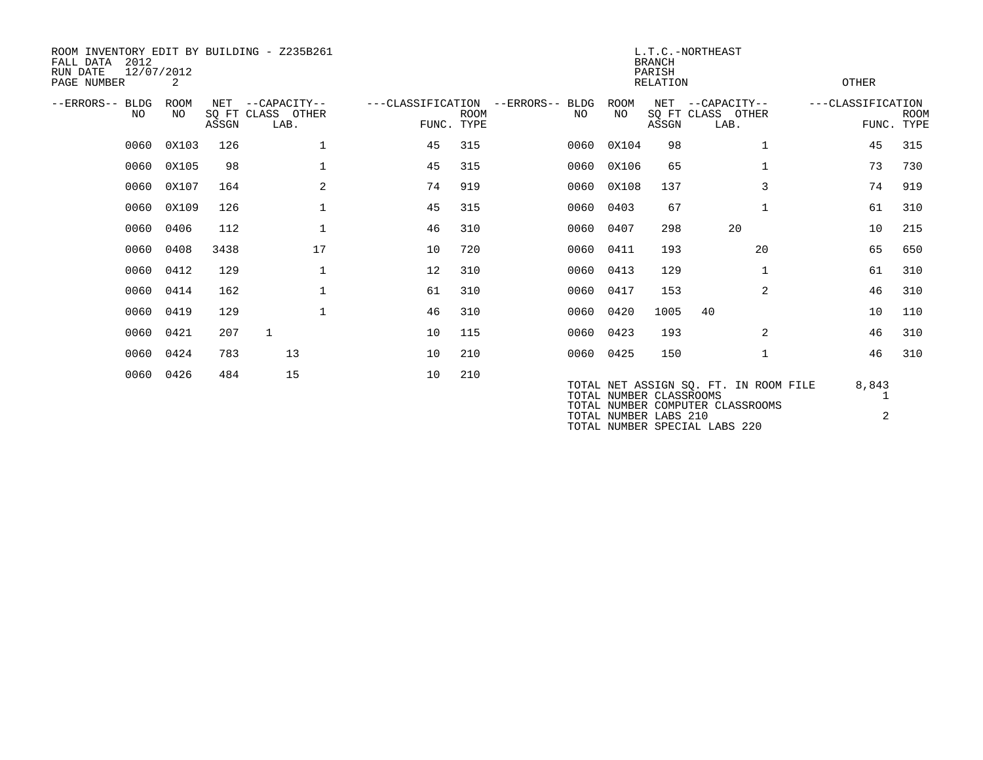| 2012<br>FALL DATA<br>RUN DATE<br>PAGE NUMBER | 12/07/2012<br>2    |              | ROOM INVENTORY EDIT BY BUILDING - Z235B261 |                                 |             |                 |           |                         | <b>BRANCH</b><br>PARISH<br>RELATION | L.T.C.-NORTHEAST                                                          | OTHER             |                           |
|----------------------------------------------|--------------------|--------------|--------------------------------------------|---------------------------------|-------------|-----------------|-----------|-------------------------|-------------------------------------|---------------------------------------------------------------------------|-------------------|---------------------------|
| --ERRORS-- BLDG<br>NO                        | <b>ROOM</b><br>NO. | NET<br>ASSGN | --CAPACITY--<br>SQ FT CLASS OTHER<br>LAB.  | ---CLASSIFICATION<br>FUNC. TYPE | <b>ROOM</b> | --ERRORS-- BLDG | NO.       | ROOM<br>NO.             | NET<br>ASSGN                        | --CAPACITY--<br>SQ FT CLASS OTHER<br>LAB.                                 | ---CLASSIFICATION | <b>ROOM</b><br>FUNC. TYPE |
| 0060                                         | 0X103              | 126          | $\mathbf 1$                                | 45                              | 315         |                 | 0060      | 0X104                   | 98                                  | $\mathbf 1$                                                               | 45                | 315                       |
| 0060                                         | 0X105              | 98           | $\mathbf{1}$                               | 45                              | 315         |                 | 0060      | 0X106                   | 65                                  |                                                                           | 73                | 730                       |
|                                              | 0060 0X107         | 164          | 2                                          | 74                              | 919         |                 |           | 0060 0X108              | 137                                 | 3                                                                         | 74                | 919                       |
|                                              | 0060 0X109         | 126          | $\mathbf{1}$                               | 45                              | 315         |                 | 0060 0403 |                         | 67                                  | $\mathbf{1}$                                                              | 61                | 310                       |
|                                              | 0060 0406          | 112          | $\mathbf 1$                                | 46                              | 310         |                 | 0060 0407 |                         | 298                                 | 20                                                                        | 10                | 215                       |
| 0060                                         | 0408               | 3438         | 17                                         | 10                              | 720         |                 | 0060 0411 |                         | 193                                 | 20                                                                        | 65                | 650                       |
|                                              | 0060 0412          | 129          | $\mathbf 1$                                | 12                              | 310         |                 | 0060 0413 |                         | 129                                 | $\mathbf{1}$                                                              | 61                | 310                       |
|                                              | 0060 0414          | 162          | $\mathbf{1}$                               | 61                              | 310         |                 | 0060 0417 |                         | 153                                 | $\overline{2}$                                                            | 46                | 310                       |
| 0060                                         | 0419               | 129          | $\mathbf{1}$                               | 46                              | 310         |                 | 0060 0420 |                         | 1005                                | 40                                                                        | 10                | 110                       |
|                                              | 0060 0421          | 207          | 1                                          | 10                              | 115         |                 | 0060 0423 |                         | 193                                 | 2                                                                         | 46                | 310                       |
|                                              | 0060 0424          | 783          | 13                                         | 10                              | 210         |                 | 0060 0425 |                         | 150                                 | 1                                                                         | 46                | 310                       |
| 0060                                         | 0426               | 484          | 15                                         | 10                              | 210         |                 |           | TOTAL NUMBER CLASSROOMS |                                     | TOTAL NET ASSIGN SQ. FT. IN ROOM FILE<br>TOTAL NUMBER COMPUTER CLASSROOMS | 8,843             |                           |

TOTAL NUMBER LABS 210 2

TOTAL NUMBER SPECIAL LABS 220